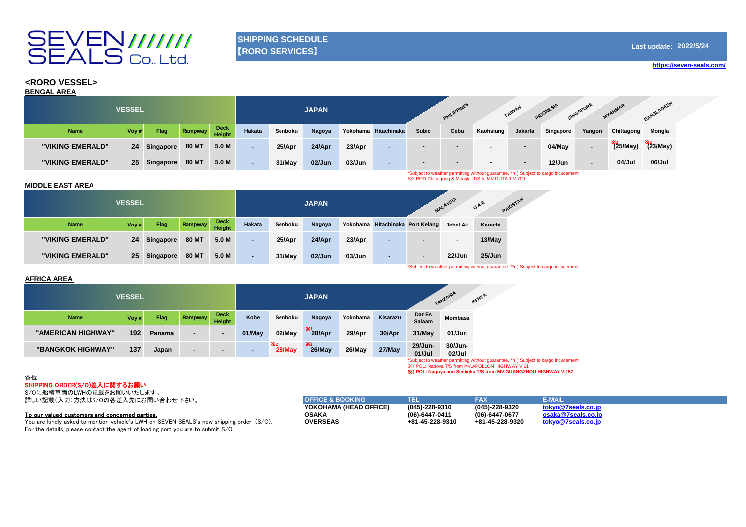# SEVEN///////<br>SEALS Co., Ltd.

# **SHIPPING SCHEDULE** 【**RORO SERVICES】**

**Last update: 2022/5/24**

**[htt](https://seven-seals.com/)ps://seven-seals.com/**

## **<RORO VESSEL> BENGAL AREA**

| <b>VESSEL</b>                                                                       |       |           |              |                |        | <b>JAPAN</b> |        |        |                      |                | <b>BANGLADESH</b><br><b>PHILIPPINES</b><br>SINGAPORE<br>MY ANIMAR<br><b>NDONESIA</b><br>TAIWAN |                          |         |           |                          |                       |                       |
|-------------------------------------------------------------------------------------|-------|-----------|--------------|----------------|--------|--------------|--------|--------|----------------------|----------------|------------------------------------------------------------------------------------------------|--------------------------|---------|-----------|--------------------------|-----------------------|-----------------------|
| Name                                                                                | Voy # | Flag      | Rampway      | Deck<br>Height | Hakata | Senboku      | Nagoya |        | Yokohama Hitachinaka | <b>Subic</b>   | Cebu                                                                                           | Kaohsiung                | Jakarta | Singapore | Yangon                   | Chittagong            | Mongla                |
| "VIKING EMERALD"                                                                    | 24    | Singapore | 80 MT        | 5.0 M          |        | 25/Apr       | 24/Apr | 23/Apr |                      |                | $\blacksquare$                                                                                 | $\overline{\phantom{a}}$ |         | 04/May    | $\overline{\phantom{a}}$ | $\frac{12}{25}$ /May) | $\frac{12}{2}$ 3/May) |
| "VIKING EMERALD"                                                                    | 25    | Singapore | <b>80 MT</b> | 5.0 M          |        | 31/May       | 02/Jun | 03/Jun |                      | $\blacksquare$ | $\sim$                                                                                         | $\overline{a}$           |         | 12/Jun    |                          | 04/Jul                | 06/Jul                |
| *Subject to weather permitting without guarantee. ** () Subject to cargo inducement |       |           |              |                |        |              |        |        |                      |                |                                                                                                |                          |         |           |                          |                       |                       |

※2 POD Chittagong & Mongla: T/S to MV.DUTA 1 V.709

# **MIDDLE EAST AREA**

|                  | <b>VESSEL</b> |           |              |                       |        |         | <b>JAPAN</b> |        |                                  |                | MALAYSIA  | PAKISTAN<br>U.A.E |
|------------------|---------------|-----------|--------------|-----------------------|--------|---------|--------------|--------|----------------------------------|----------------|-----------|-------------------|
| <b>Name</b>      | Voy#          | Flag      | Rampway      | <b>Deck</b><br>Height | Hakata | Senboku | Nagoya       |        | Yokohama Hitachinaka Port Kelang |                | Jebel Ali | Karachi           |
| "VIKING EMERALD" | 24            | Singapore | <b>80 MT</b> | 5.0 M                 | ٠      | 25/Apr  | 24/Apr       | 23/Apr |                                  | $\blacksquare$ | $\sim$    | 13/May            |
| "VIKING EMERALD" | 25            | Singapore | <b>80 MT</b> | 5.0 M                 | $\sim$ | 31/May  | 02/Jun       | 03/Jun | $\blacksquare$                   |                | 22/Jun    | 25/Jun            |

\*Subject to weather permitting without guarantee. \*\*( ) Subject to cargo inducement

## **AFRICA AREA**

| <b>VESSEL</b>      |       |             |                          |                          |        | <b>JAPAN</b>    |                        |           | TANZANIA<br>KENYA |                         |                   |                                                                                     |
|--------------------|-------|-------------|--------------------------|--------------------------|--------|-----------------|------------------------|-----------|-------------------|-------------------------|-------------------|-------------------------------------------------------------------------------------|
| Name               | Voy # | <b>Flag</b> | Rampway                  | <b>Deck</b><br>Height    | Kobe   | Senboku         | Nagoya                 | Yokohama  | Kisarazu          | Dar Es<br><b>Salaam</b> | Mombasa           |                                                                                     |
| "AMERICAN HIGHWAY" | 192   | Panama      | $\overline{\phantom{a}}$ | $\overline{\phantom{a}}$ | 01/May | 02/May          | $\frac{1}{28}$ 28/Apr  | 29/Apr    | 30/Apr            | 31/May                  | 01/Jun            |                                                                                     |
| "BANGKOK HIGHWAY"  | 137   | Japan       | $\overline{\phantom{a}}$ | -                        | $\sim$ | ※2<br>$28$ /May | <b>X2</b><br>$26$ /May | $26$ /May | $27$ /May         | 29/Jun-<br>01/Jul       | 30/Jun-<br>02/Jul |                                                                                     |
|                    |       |             |                          |                          |        |                 |                        |           |                   |                         |                   | *Subject to weather permitting without quarantee. ** () Subject to cargo inducement |

※1 POL: Nagoya T/S from MV.APOLLON HIGHWAY V.61 ※2 **POL: Nagoya and Senboku T/S from MV.GUANGZHOU HIGHWAY V.157**

# 各位

SHIPPING ORDER(S/O)差入に関するお願い S/Oに船積車両のLWHの記載をお願いいたします。

- The Failer (入力)方法はS/Oの各差入先にお問い合わせ下さい。

## $To our valued customers and concerned parties.$

You are kindly asked to mention vehicle's LWH on SEVEN SEALS's new shipping order (S/O), For the details, please contact the agent of loading port you are to submit S/O.

| <b>OFFICE &amp; BOOKING</b> |                 | <b>FAX</b>      | E-MAIL             |
|-----------------------------|-----------------|-----------------|--------------------|
| YOKOHAMA (HEAD OFFICE)      | (045)-228-9310  | (045)-228-9320  | tokyo@7seals.co.ip |
| OSAKA                       | (06)-6447-0411  | (06)-6447-0677  | osaka@7seals.co.ip |
| <b>OVERSEAS</b>             | +81-45-228-9310 | +81-45-228-9320 | tokyo@7seals.co.ip |